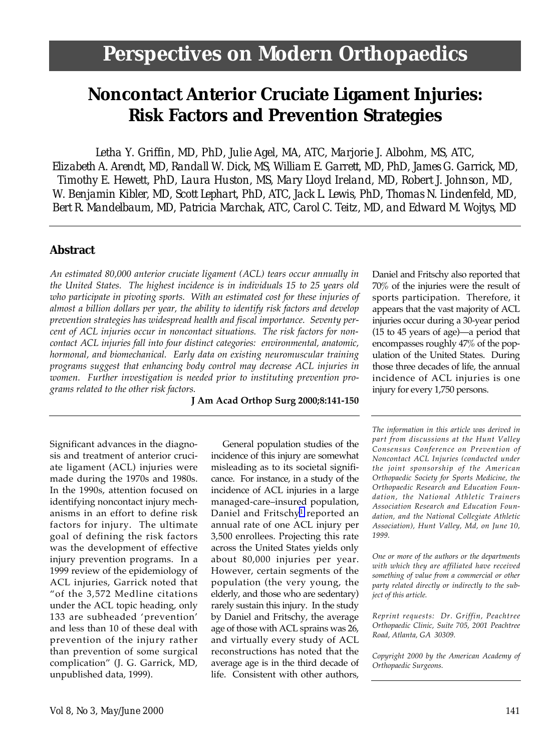# **Noncontact Anterior Cruciate Ligament Injuries: Risk Factors and Prevention Strategies**

*Letha Y. Griffin, MD, PhD, Julie Agel, MA, ATC, Marjorie J. Albohm, MS, ATC, Elizabeth A. Arendt, MD, Randall W. Dick, MS, William E. Garrett, MD, PhD, James G. Garrick, MD, Timothy E. Hewett, PhD, Laura Huston, MS, Mary Lloyd Ireland, MD, Robert J. Johnson, MD, W. Benjamin Kibler, MD, Scott Lephart, PhD, ATC, Jack L. Lewis, PhD, Thomas N. Lindenfeld, MD, Bert R. Mandelbaum, MD, Patricia Marchak, ATC, Carol C. Teitz, MD, and Edward M. Wojtys, MD*

### **Abstract**

*An estimated 80,000 anterior cruciate ligament (ACL) tears occur annually in the United States. The highest incidence is in individuals 15 to 25 years old who participate in pivoting sports. With an estimated cost for these injuries of almost a billion dollars per year, the ability to identify risk factors and develop prevention strategies has widespread health and fiscal importance. Seventy percent of ACL injuries occur in noncontact situations. The risk factors for noncontact ACL injuries fall into four distinct categories: environmental, anatomic, hormonal, and biomechanical. Early data on existing neuromuscular training programs suggest that enhancing body control may decrease ACL injuries in women. Further investigation is needed prior to instituting prevention programs related to the other risk factors.*

**J Am Acad Orthop Surg 2000;8:141-150**

Significant advances in the diagnosis and treatment of anterior cruciate ligament (ACL) injuries were made during the 1970s and 1980s. In the 1990s, attention focused on identifying noncontact injury mechanisms in an effort to define risk factors for injury. The ultimate goal of defining the risk factors was the development of effective injury prevention programs. In a 1999 review of the epidemiology of ACL injuries, Garrick noted that "of the 3,572 Medline citations under the ACL topic heading, only 133 are subheaded 'prevention' and less than 10 of these deal with prevention of the injury rather than prevention of some surgical complication" (J. G. Garrick, MD, unpublished data, 1999).

General population studies of the incidence of this injury are somewhat misleading as to its societal significance. For instance, in a study of the incidence of ACL injuries in a large managed-care–insured population, Daniel and Fritschy<sup>1</sup> reported an annual rate of one ACL injury per 3,500 enrollees. Projecting this rate across the United States yields only about 80,000 injuries per year. However, certain segments of the population (the very young, the elderly, and those who are sedentary) rarely sustain this injury. In the study by Daniel and Fritschy, the average age of those with ACL sprains was 26, and virtually every study of ACL reconstructions has noted that the average age is in the third decade of life. Consistent with other authors, Daniel and Fritschy also reported that 70% of the injuries were the result of sports participation. Therefore, it appears that the vast majority of ACL injuries occur during a 30-year period (15 to 45 years of age)—a period that encompasses roughly 47% of the population of the United States. During those three decades of life, the annual incidence of ACL injuries is one injury for every 1,750 persons.

*The information in this article was derived in part from discussions at the Hunt Valley Consensus Conference on Prevention of Noncontact ACL Injuries (conducted under the joint sponsorship of the American Orthopaedic Society for Sports Medicine, the Orthopaedic Research and Education Foundation, the National Athletic Trainers Association Research and Education Foundation, and the National Collegiate Athletic Association), Hunt Valley, Md, on June 10, 1999.*

*One or more of the authors or the departments with which they are affiliated have received something of value from a commercial or other party related directly or indirectly to the subject of this article.*

*Reprint requests: Dr. Griffin, Peachtree Orthopaedic Clinic, Suite 705, 2001 Peachtree Road, Atlanta, GA 30309.*

*Copyright 2000 by the American Academy of Orthopaedic Surgeons.*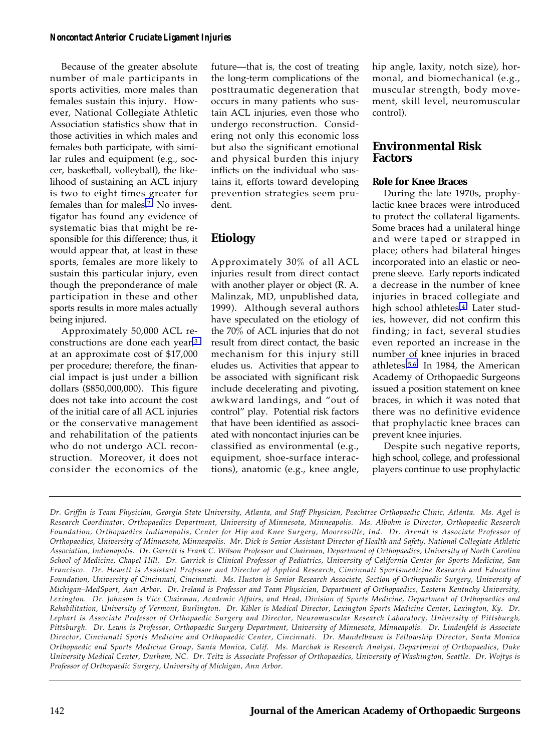Because of the greater absolute number of male participants in sports activities, more males than females sustain this injury. However, National Collegiate Athletic Association statistics show that in those activities in which males and females both participate, with similar rules and equipment (e.g., soccer, basketball, volleyball), the likelihood of sustaining an ACL injury is two to eight times greater for females than for males[.2](#page-8-1) No investigator has found any evidence of systematic bias that might be responsible for this difference; thus, it would appear that, at least in these sports, females are more likely to sustain this particular injury, even though the preponderance of male participation in these and other sports results in more males actually being injured.

Approximately 50,000 ACL reconstructions are done each year[,3](#page-8-3) at an approximate cost of \$17,000 per procedure; therefore, the financial impact is just under a billion dollars (\$850,000,000). This figure does not take into account the cost of the initial care of all ACL injuries or the conservative management and rehabilitation of the patients who do not undergo ACL reconstruction. Moreover, it does not consider the economics of the

future—that is, the cost of treating the long-term complications of the posttraumatic degeneration that occurs in many patients who sustain ACL injuries, even those who undergo reconstruction. Considering not only this economic loss but also the significant emotional and physical burden this injury inflicts on the individual who sustains it, efforts toward developing prevention strategies seem prudent.

# **Etiology**

Approximately 30% of all ACL injuries result from direct contact with another player or object (R. A. Malinzak, MD, unpublished data, 1999). Although several authors have speculated on the etiology of the 70% of ACL injuries that do not result from direct contact, the basic mechanism for this injury still eludes us. Activities that appear to be associated with significant risk include decelerating and pivoting, awkward landings, and "out of control" play. Potential risk factors that have been identified as associated with noncontact injuries can be classified as environmental (e.g., equipment, shoe-surface interactions), anatomic (e.g., knee angle,

hip angle, laxity, notch size), hormonal, and biomechanical (e.g., muscular strength, body movement, skill level, neuromuscular control).

### **Environmental Risk Factors**

### **Role for Knee Braces**

During the late 1970s, prophylactic knee braces were introduced to protect the collateral ligaments. Some braces had a unilateral hinge and were taped or strapped in place; others had bilateral hinges incorporated into an elastic or neoprene sleeve. Early reports indicated a decrease in the number of knee injuries in braced collegiate and high school athletes[.4](#page-8-2) Later studies, however, did not confirm this finding; in fact, several studies even reported an increase in the number of knee injuries in braced athletes[.5,6](#page-9-0) In 1984, the American Academy of Orthopaedic Surgeons issued a position statement on knee braces, in which it was noted that there was no definitive evidence that prophylactic knee braces can prevent knee injuries.

Despite such negative reports, high school, college, and professional players continue to use prophylactic

*Dr. Griffin is Team Physician, Georgia State University, Atlanta, and Staff Physician, Peachtree Orthopaedic Clinic, Atlanta. Ms. Agel is Research Coordinator, Orthopaedics Department, University of Minnesota, Minneapolis. Ms. Albohm is Director, Orthopaedic Research Foundation, Orthopaedics Indianapolis, Center for Hip and Knee Surgery, Mooresville, Ind. Dr. Arendt is Associate Professor of Orthopaedics, University of Minnesota, Minneapolis. Mr. Dick is Senior Assistant Director of Health and Safety, National Collegiate Athletic Association, Indianapolis. Dr. Garrett is Frank C. Wilson Professor and Chairman, Department of Orthopaedics, University of North Carolina School of Medicine, Chapel Hill. Dr. Garrick is Clinical Professor of Pediatrics, University of California Center for Sports Medicine, San Francisco. Dr. Hewett is Assistant Professor and Director of Applied Research, Cincinnati Sportsmedicine Research and Education Foundation, University of Cincinnati, Cincinnati. Ms. Huston is Senior Research Associate, Section of Orthopaedic Surgery, University of Michigan–MedSport, Ann Arbor. Dr. Ireland is Professor and Team Physician, Department of Orthopaedics, Eastern Kentucky University, Lexington. Dr. Johnson is Vice Chairman, Academic Affairs, and Head, Division of Sports Medicine, Department of Orthopaedics and Rehabilitation, University of Vermont, Burlington. Dr. Kibler is Medical Director, Lexington Sports Medicine Center, Lexington, Ky. Dr. Lephart is Associate Professor of Orthopaedic Surgery and Director, Neuromuscular Research Laboratory, University of Pittsburgh, Pittsburgh. Dr. Lewis is Professor, Orthopaedic Surgery Department, University of Minnesota, Minneapolis. Dr. Lindenfeld is Associate Director, Cincinnati Sports Medicine and Orthopaedic Center, Cincinnati. Dr. Mandelbaum is Fellowship Director, Santa Monica Orthopaedic and Sports Medicine Group, Santa Monica, Calif. Ms. Marchak is Research Analyst, Department of Orthopaedics, Duke University Medical Center, Durham, NC. Dr. Teitz is Associate Professor of Orthopaedics, University of Washington, Seattle. Dr. Wojtys is Professor of Orthopaedic Surgery, University of Michigan, Ann Arbor.*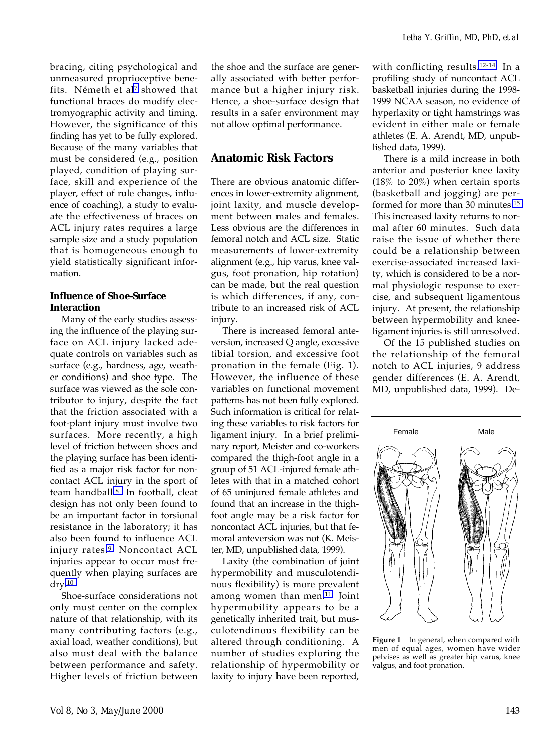bracing, citing psychological and unmeasured proprioceptive benefits. Németh et al<sup>7</sup> showed that functional braces do modify electromyographic activity and timing. However, the significance of this finding has yet to be fully explored. Because of the many variables that must be considered (e.g., position played, condition of playing surface, skill and experience of the player, effect of rule changes, influence of coaching), a study to evaluate the effectiveness of braces on ACL injury rates requires a large sample size and a study population that is homogeneous enough to yield statistically significant information.

### **Influence of Shoe-Surface Interaction**

Many of the early studies assessing the influence of the playing surface on ACL injury lacked adequate controls on variables such as surface (e.g., hardness, age, weather conditions) and shoe type. The surface was viewed as the sole contributor to injury, despite the fact that the friction associated with a foot-plant injury must involve two surfaces. More recently, a high level of friction between shoes and the playing surface has been identified as a major risk factor for noncontact ACL injury in the sport of team handball[.8](#page-9-0) In football, cleat design has not only been found to be an important factor in torsional resistance in the laboratory; it has also been found to influence ACL injury rates[.9](#page-9-0) Noncontact ACL injuries appear to occur most frequently when playing surfaces are dry[.10](#page-9-0)

Shoe-surface considerations not only must center on the complex nature of that relationship, with its many contributing factors (e.g., axial load, weather conditions), but also must deal with the balance between performance and safety. Higher levels of friction between

the shoe and the surface are generally associated with better performance but a higher injury risk. Hence, a shoe-surface design that results in a safer environment may not allow optimal performance.

## **Anatomic Risk Factors**

There are obvious anatomic differences in lower-extremity alignment, joint laxity, and muscle development between males and females. Less obvious are the differences in femoral notch and ACL size. Static measurements of lower-extremity alignment (e.g., hip varus, knee valgus, foot pronation, hip rotation) can be made, but the real question is which differences, if any, contribute to an increased risk of ACL injury.

There is increased femoral anteversion, increased Q angle, excessive tibial torsion, and excessive foot pronation in the female (Fig. 1). However, the influence of these variables on functional movement patterns has not been fully explored. Such information is critical for relating these variables to risk factors for ligament injury. In a brief preliminary report, Meister and co-workers compared the thigh-foot angle in a group of 51 ACL-injured female athletes with that in a matched cohort of 65 uninjured female athletes and found that an increase in the thighfoot angle may be a risk factor for noncontact ACL injuries, but that femoral anteversion was not (K. Meister, MD, unpublished data, 1999).

Laxity (the combination of joint hypermobility and musculotendinous flexibility) is more prevalent among women than men[.11](#page-9-0) Joint hypermobility appears to be a genetically inherited trait, but musculotendinous flexibility can be altered through conditioning. A number of studies exploring the relationship of hypermobility or laxity to injury have been reported,

with conflicting results.<sup>12-14</sup> In a profiling study of noncontact ACL basketball injuries during the 1998- 1999 NCAA season, no evidence of hyperlaxity or tight hamstrings was evident in either male or female athletes (E. A. Arendt, MD, unpublished data, 1999).

There is a mild increase in both anterior and posterior knee laxity (18% to 20%) when certain sports (basketball and jogging) are performed for more than 30 minutes[.15](#page-9-0) This increased laxity returns to normal after 60 minutes. Such data raise the issue of whether there could be a relationship between exercise-associated increased laxity, which is considered to be a normal physiologic response to exercise, and subsequent ligamentous injury. At present, the relationship between hypermobility and kneeligament injuries is still unresolved.

Of the 15 published studies on the relationship of the femoral notch to ACL injuries, 9 address gender differences (E. A. Arendt, MD, unpublished data, 1999). De-



**Figure 1** In general, when compared with men of equal ages, women have wider pelvises as well as greater hip varus, knee valgus, and foot pronation.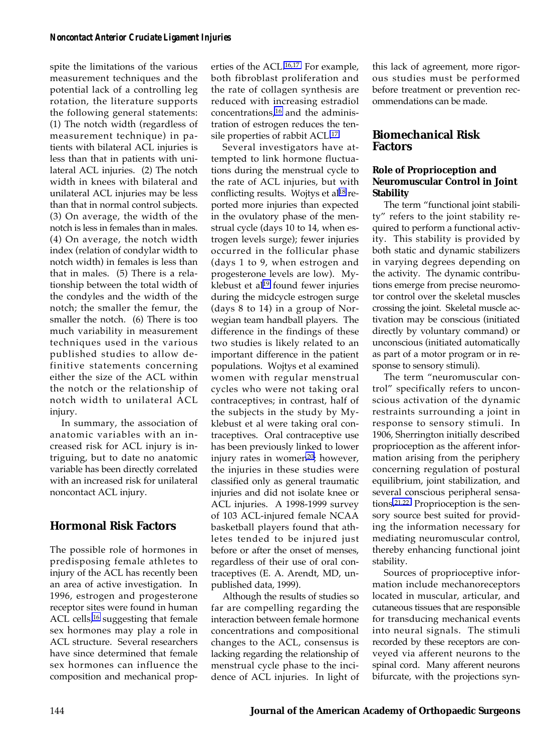spite the limitations of the various measurement techniques and the potential lack of a controlling leg rotation, the literature supports the following general statements: (1) The notch width (regardless of measurement technique) in patients with bilateral ACL injuries is less than that in patients with unilateral ACL injuries. (2) The notch width in knees with bilateral and unilateral ACL injuries may be less than that in normal control subjects. (3) On average, the width of the notch is less in females than in males. (4) On average, the notch width index (relation of condylar width to notch width) in females is less than that in males. (5) There is a relationship between the total width of the condyles and the width of the notch; the smaller the femur, the smaller the notch. (6) There is too much variability in measurement techniques used in the various published studies to allow definitive statements concerning either the size of the ACL within the notch or the relationship of notch width to unilateral ACL injury.

In summary, the association of anatomic variables with an increased risk for ACL injury is intriguing, but to date no anatomic variable has been directly correlated with an increased risk for unilateral noncontact ACL injury.

### **Hormonal Risk Factors**

The possible role of hormones in predisposing female athletes to injury of the ACL has recently been an area of active investigation. In 1996, estrogen and progesterone receptor sites were found in human ACL cells,<sup>16</sup> suggesting that female sex hormones may play a role in ACL structure. Several researchers have since determined that female sex hormones can influence the composition and mechanical properties of the ACL[.16,17](#page-9-0) For example, both fibroblast proliferation and the rate of collagen synthesis are reduced with increasing estradiol concentrations[,16](#page-9-0) and the administration of estrogen reduces the tensile properties of rabbit ACL[.17](#page-9-0)

Several investigators have attempted to link hormone fluctuations during the menstrual cycle to the rate of ACL injuries, but with conflicting results. Wojtys et al<sup>18</sup> reported more injuries than expected in the ovulatory phase of the menstrual cycle (days 10 to 14, when estrogen levels surge); fewer injuries occurred in the follicular phase (days 1 to 9, when estrogen and progesterone levels are low). Myklebust et al<sup>19</sup> found fewer injuries during the midcycle estrogen surge (days 8 to 14) in a group of Norwegian team handball players. The difference in the findings of these two studies is likely related to an important difference in the patient populations. Wojtys et al examined women with regular menstrual cycles who were not taking oral contraceptives; in contrast, half of the subjects in the study by Myklebust et al were taking oral contraceptives. Oral contraceptive use has been previously linked to lower injury rates in women<sup>20</sup>; however, the injuries in these studies were classified only as general traumatic injuries and did not isolate knee or ACL injuries. A 1998-1999 survey of 103 ACL-injured female NCAA basketball players found that athletes tended to be injured just before or after the onset of menses, regardless of their use of oral contraceptives (E. A. Arendt, MD, unpublished data, 1999).

Although the results of studies so far are compelling regarding the interaction between female hormone concentrations and compositional changes to the ACL, consensus is lacking regarding the relationship of menstrual cycle phase to the incidence of ACL injuries. In light of this lack of agreement, more rigorous studies must be performed before treatment or prevention recommendations can be made.

### **Biomechanical Risk Factors**

### **Role of Proprioception and Neuromuscular Control in Joint Stability**

The term "functional joint stability" refers to the joint stability required to perform a functional activity. This stability is provided by both static and dynamic stabilizers in varying degrees depending on the activity. The dynamic contributions emerge from precise neuromotor control over the skeletal muscles crossing the joint. Skeletal muscle activation may be conscious (initiated directly by voluntary command) or unconscious (initiated automatically as part of a motor program or in response to sensory stimuli).

The term "neuromuscular control" specifically refers to unconscious activation of the dynamic restraints surrounding a joint in response to sensory stimuli. In 1906, Sherrington initially described proprioception as the afferent information arising from the periphery concerning regulation of postural equilibrium, joint stabilization, and several conscious peripheral sensations[.21,22](#page-9-0) Proprioception is the sensory source best suited for providing the information necessary for mediating neuromuscular control, thereby enhancing functional joint stability.

Sources of proprioceptive information include mechanoreceptors located in muscular, articular, and cutaneous tissues that are responsible for transducing mechanical events into neural signals. The stimuli recorded by these receptors are conveyed via afferent neurons to the spinal cord. Many afferent neurons bifurcate, with the projections syn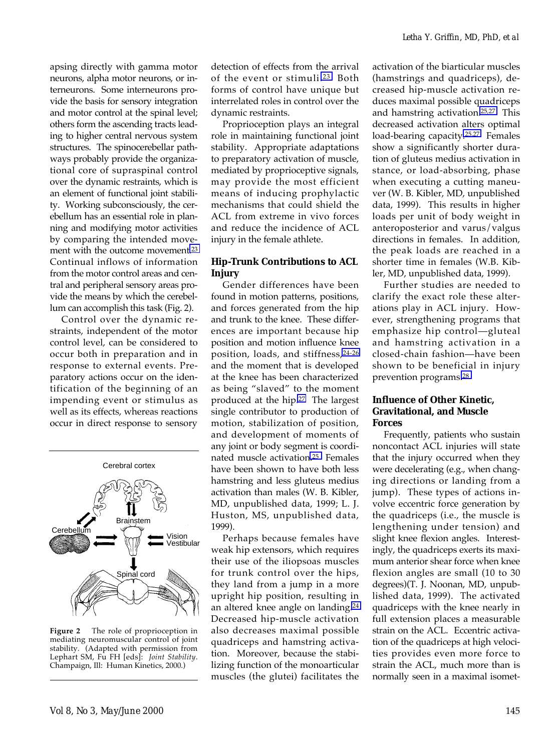apsing directly with gamma motor neurons, alpha motor neurons, or interneurons. Some interneurons provide the basis for sensory integration and motor control at the spinal level; others form the ascending tracts leading to higher central nervous system structures. The spinocerebellar pathways probably provide the organizational core of supraspinal control over the dynamic restraints, which is an element of functional joint stability. Working subconsciously, the cerebellum has an essential role in planning and modifying motor activities by comparing the intended movement with the outcome movement[.23](#page-9-0) Continual inflows of information from the motor control areas and central and peripheral sensory areas provide the means by which the cerebellum can accomplish this task (Fig. 2).

Control over the dynamic restraints, independent of the motor control level, can be considered to occur both in preparation and in response to external events. Preparatory actions occur on the identification of the beginning of an impending event or stimulus as well as its effects, whereas reactions occur in direct response to sensory



**Figure 2** The role of proprioception in mediating neuromuscular control of joint stability. (Adapted with permission from Lephart SM, Fu FH [eds]: *Joint Stability*. Champaign, Ill: Human Kinetics, 2000.)

detection of effects from the arrival of the event or stimuli[.23](#page-9-0) Both forms of control have unique but interrelated roles in control over the dynamic restraints.

Proprioception plays an integral role in maintaining functional joint stability. Appropriate adaptations to preparatory activation of muscle, mediated by proprioceptive signals, may provide the most efficient means of inducing prophylactic mechanisms that could shield the ACL from extreme in vivo forces and reduce the incidence of ACL injury in the female athlete.

### **Hip-Trunk Contributions to ACL Injury**

Gender differences have been found in motion patterns, positions, and forces generated from the hip and trunk to the knee. These differences are important because hip position and motion influence knee position, loads, and stiffness,[24-26](#page-9-0) and the moment that is developed at the knee has been characterized as being "slaved" to the moment produced at the hip[.27](#page-9-0) The largest single contributor to production of motion, stabilization of position, and development of moments of any joint or body segment is coordinated muscle activatio[n.25](#page-9-0) Females have been shown to have both less hamstring and less gluteus medius activation than males (W. B. Kibler, MD, unpublished data, 1999; L. J. Huston, MS, unpublished data, 1999).

Perhaps because females have weak hip extensors, which requires their use of the iliopsoas muscles for trunk control over the hips, they land from a jump in a more upright hip position, resulting in an altered knee angle on landing[.24](#page-9-0) Decreased hip-muscle activation also decreases maximal possible quadriceps and hamstring activation. Moreover, because the stabilizing function of the monoarticular muscles (the glutei) facilitates the

activation of the biarticular muscles (hamstrings and quadriceps), decreased hip-muscle activation reduces maximal possible quadriceps and hamstring activation[.25,27](#page-9-0) This decreased activation alters optimal load-bearing capacity[.25,27](#page-9-0) Females show a significantly shorter duration of gluteus medius activation in stance, or load-absorbing, phase when executing a cutting maneuver (W. B. Kibler, MD, unpublished data, 1999). This results in higher loads per unit of body weight in anteroposterior and varus/valgus directions in females. In addition, the peak loads are reached in a shorter time in females (W.B. Kibler, MD, unpublished data, 1999).

Further studies are needed to clarify the exact role these alterations play in ACL injury. However, strengthening programs that emphasize hip control—gluteal and hamstring activation in a closed-chain fashion—have been shown to be beneficial in injury prevention programs[.28](#page-9-0)

### **Influence of Other Kinetic, Gravitational, and Muscle Forces**

Frequently, patients who sustain noncontact ACL injuries will state that the injury occurred when they were decelerating (e.g., when changing directions or landing from a jump). These types of actions involve eccentric force generation by the quadriceps (i.e., the muscle is lengthening under tension) and slight knee flexion angles. Interestingly, the quadriceps exerts its maximum anterior shear force when knee flexion angles are small (10 to 30 degrees)(T. J. Noonan, MD, unpublished data, 1999). The activated quadriceps with the knee nearly in full extension places a measurable strain on the ACL. Eccentric activation of the quadriceps at high velocities provides even more force to strain the ACL, much more than is normally seen in a maximal isomet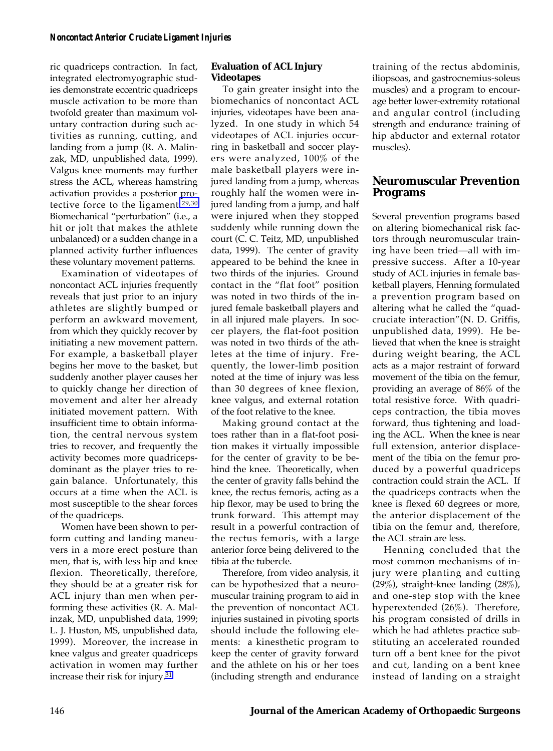ric quadriceps contraction. In fact, integrated electromyographic studies demonstrate eccentric quadriceps muscle activation to be more than twofold greater than maximum voluntary contraction during such activities as running, cutting, and landing from a jump (R. A. Malinzak, MD, unpublished data, 1999). Valgus knee moments may further stress the ACL, whereas hamstring activation provides a posterior protective force to the ligament[.29,30](#page-9-0) Biomechanical "perturbation" (i.e., a hit or jolt that makes the athlete unbalanced) or a sudden change in a planned activity further influences these voluntary movement patterns.

Examination of videotapes of noncontact ACL injuries frequently reveals that just prior to an injury athletes are slightly bumped or perform an awkward movement, from which they quickly recover by initiating a new movement pattern. For example, a basketball player begins her move to the basket, but suddenly another player causes her to quickly change her direction of movement and alter her already initiated movement pattern. With insufficient time to obtain information, the central nervous system tries to recover, and frequently the activity becomes more quadricepsdominant as the player tries to regain balance. Unfortunately, this occurs at a time when the ACL is most susceptible to the shear forces of the quadriceps.

Women have been shown to perform cutting and landing maneuvers in a more erect posture than men, that is, with less hip and knee flexion. Theoretically, therefore, they should be at a greater risk for ACL injury than men when performing these activities (R. A. Malinzak, MD, unpublished data, 1999; L. J. Huston, MS, unpublished data, 1999). Moreover, the increase in knee valgus and greater quadriceps activation in women may further increase their risk for injury[.31](#page-9-0)

### **Evaluation of ACL Injury Videotapes**

To gain greater insight into the biomechanics of noncontact ACL injuries, videotapes have been analyzed. In one study in which 54 videotapes of ACL injuries occurring in basketball and soccer players were analyzed, 100% of the male basketball players were injured landing from a jump, whereas roughly half the women were injured landing from a jump, and half were injured when they stopped suddenly while running down the court (C. C. Teitz, MD, unpublished data, 1999). The center of gravity appeared to be behind the knee in two thirds of the injuries. Ground contact in the "flat foot" position was noted in two thirds of the injured female basketball players and in all injured male players. In soccer players, the flat-foot position was noted in two thirds of the athletes at the time of injury. Frequently, the lower-limb position noted at the time of injury was less than 30 degrees of knee flexion, knee valgus, and external rotation of the foot relative to the knee.

Making ground contact at the toes rather than in a flat-foot position makes it virtually impossible for the center of gravity to be behind the knee. Theoretically, when the center of gravity falls behind the knee, the rectus femoris, acting as a hip flexor, may be used to bring the trunk forward. This attempt may result in a powerful contraction of the rectus femoris, with a large anterior force being delivered to the tibia at the tubercle.

Therefore, from video analysis, it can be hypothesized that a neuromuscular training program to aid in the prevention of noncontact ACL injuries sustained in pivoting sports should include the following elements: a kinesthetic program to keep the center of gravity forward and the athlete on his or her toes (including strength and endurance

training of the rectus abdominis, iliopsoas, and gastrocnemius-soleus muscles) and a program to encourage better lower-extremity rotational and angular control (including strength and endurance training of hip abductor and external rotator muscles).

### **Neuromuscular Prevention Programs**

Several prevention programs based on altering biomechanical risk factors through neuromuscular training have been tried—all with impressive success. After a 10-year study of ACL injuries in female basketball players, Henning formulated a prevention program based on altering what he called the "quadcruciate interaction"(N. D. Griffis, unpublished data, 1999). He believed that when the knee is straight during weight bearing, the ACL acts as a major restraint of forward movement of the tibia on the femur, providing an average of 86% of the total resistive force. With quadriceps contraction, the tibia moves forward, thus tightening and loading the ACL. When the knee is near full extension, anterior displacement of the tibia on the femur produced by a powerful quadriceps contraction could strain the ACL. If the quadriceps contracts when the knee is flexed 60 degrees or more, the anterior displacement of the tibia on the femur and, therefore, the ACL strain are less.

Henning concluded that the most common mechanisms of injury were planting and cutting (29%), straight-knee landing (28%), and one-step stop with the knee hyperextended (26%). Therefore, his program consisted of drills in which he had athletes practice substituting an accelerated rounded turn off a bent knee for the pivot and cut, landing on a bent knee instead of landing on a straight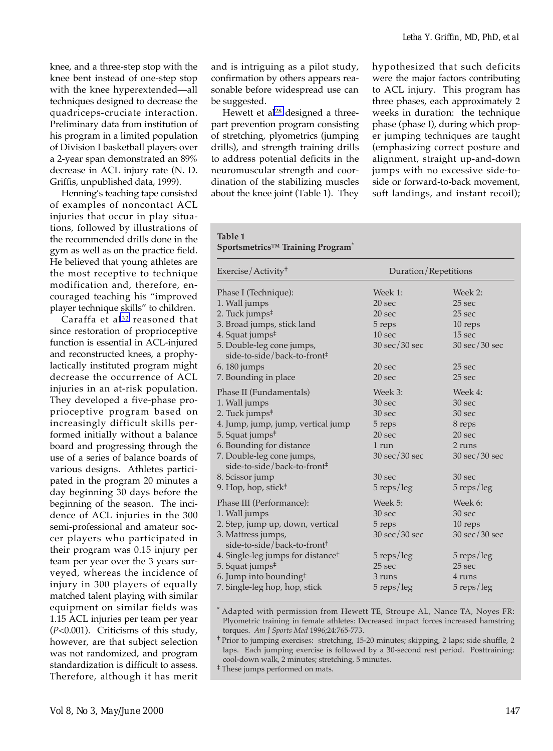knee, and a three-step stop with the knee bent instead of one-step stop with the knee hyperextended—all techniques designed to decrease the quadriceps-cruciate interaction. Preliminary data from institution of his program in a limited population of Division I basketball players over a 2-year span demonstrated an 89% decrease in ACL injury rate (N. D. Griffis, unpublished data, 1999).

Henning's teaching tape consisted of examples of noncontact ACL injuries that occur in play situations, followed by illustrations of the recommended drills done in the gym as well as on the practice field. He believed that young athletes are the most receptive to technique modification and, therefore, encouraged teaching his "improved player technique skills" to children.

Caraffa et al<sup>32</sup> reasoned that since restoration of proprioceptive function is essential in ACL-injured and reconstructed knees, a prophylactically instituted program might decrease the occurrence of ACL injuries in an at-risk population. They developed a five-phase proprioceptive program based on increasingly difficult skills performed initially without a balance board and progressing through the use of a series of balance boards of various designs. Athletes participated in the program 20 minutes a day beginning 30 days before the beginning of the season. The incidence of ACL injuries in the 300 semi-professional and amateur soccer players who participated in their program was 0.15 injury per team per year over the 3 years surveyed, whereas the incidence of injury in 300 players of equally matched talent playing with similar equipment on similar fields was 1.15 ACL injuries per team per year (*P*<0.001). Criticisms of this study, however, are that subject selection was not randomized, and program standardization is difficult to assess. Therefore, although it has merit

and is intriguing as a pilot study, confirmation by others appears reasonable before widespread use can be suggested.

Hewett et al<sup>28</sup> designed a threepart prevention program consisting of stretching, plyometrics (jumping drills), and strength training drills to address potential deficits in the neuromuscular strength and coordination of the stabilizing muscles about the knee joint (Table 1). They hypothesized that such deficits were the major factors contributing to ACL injury. This program has three phases, each approximately 2 weeks in duration: the technique phase (phase I), during which proper jumping techniques are taught (emphasizing correct posture and alignment, straight up-and-down jumps with no excessive side-toside or forward-to-back movement, soft landings, and instant recoil);

#### **Table 1 Sportsmetrics™ Training Program\***

| Exercise/Activity <sup>†</sup>                                       |                                 | Duration/Repetitions            |  |
|----------------------------------------------------------------------|---------------------------------|---------------------------------|--|
| Phase I (Technique):                                                 | Week 1:                         | Week 2:                         |  |
| 1. Wall jumps                                                        | 20 <sub>sec</sub>               | 25 sec                          |  |
| 2. Tuck jumps <sup>#</sup>                                           | 20 sec                          | 25 <sub>sec</sub>               |  |
| 3. Broad jumps, stick land                                           | 5 reps                          | 10 reps                         |  |
| 4. Squat jumps <sup>#</sup>                                          | 10 <sub>sec</sub>               | 15 sec                          |  |
| 5. Double-leg cone jumps,<br>side-to-side/back-to-front <sup>‡</sup> | $30 \text{ sec}/30 \text{ sec}$ | $30 \text{ sec}/30 \text{ sec}$ |  |
| 6.180 jumps                                                          | 20 <sub>sec</sub>               | 25 <sub>sec</sub>               |  |
| 7. Bounding in place                                                 | 20 <sub>sec</sub>               | 25 <sub>sec</sub>               |  |
| Phase II (Fundamentals)                                              | Week 3:                         | Week 4:                         |  |
| 1. Wall jumps                                                        | 30 sec                          | 30 <sub>sec</sub>               |  |
| 2. Tuck jumps <sup>#</sup>                                           | 30 sec                          | 30 sec                          |  |
| 4. Jump, jump, jump, vertical jump                                   | 5 reps                          | 8 reps                          |  |
| 5. Squat jumps <sup>‡</sup>                                          | 20 sec                          | 20 sec                          |  |
| 6. Bounding for distance                                             | 1 run                           | 2 runs                          |  |
| 7. Double-leg cone jumps,<br>side-to-side/back-to-front <sup>‡</sup> | $30 \text{ sec}/30 \text{ sec}$ | $30 \text{ sec}/30 \text{ sec}$ |  |
| 8. Scissor jump                                                      | 30 sec                          | 30 sec                          |  |
| 9. Hop, hop, stick <sup>#</sup>                                      | $5$ reps/leg                    | $5$ reps/leg                    |  |
| Phase III (Performance):                                             | Week 5:                         | Week 6:                         |  |
| 1. Wall jumps                                                        | 30 sec                          | 30 sec                          |  |
| 2. Step, jump up, down, vertical                                     | 5 reps                          | 10 reps                         |  |
| 3. Mattress jumps,<br>side-to-side/back-to-front <sup>‡</sup>        | $30 \text{ sec}/30 \text{ sec}$ | $30 \text{ sec}/30 \text{ sec}$ |  |
| 4. Single-leg jumps for distance <sup>#</sup>                        | $5$ reps/leg                    | $5$ reps/leg                    |  |
| 5. Squat jumps <sup>‡</sup>                                          | 25 <sub>sec</sub>               | 25 <sub>sec</sub>               |  |
| 6. Jump into bounding <sup>#</sup>                                   | 3 runs                          | 4 runs                          |  |
| 7. Single-leg hop, hop, stick                                        | $5$ reps/leg                    | $5$ reps/leg                    |  |

\* Adapted with permission from Hewett TE, Stroupe AL, Nance TA, Noyes FR: Plyometric training in female athletes: Decreased impact forces increased hamstring torques. *Am J Sports Med* 1996;24:765-773.

† Prior to jumping exercises: stretching, 15-20 minutes; skipping, 2 laps; side shuffle, 2 laps. Each jumping exercise is followed by a 30-second rest period. Posttraining: cool-down walk, 2 minutes; stretching, 5 minutes.

‡ These jumps performed on mats.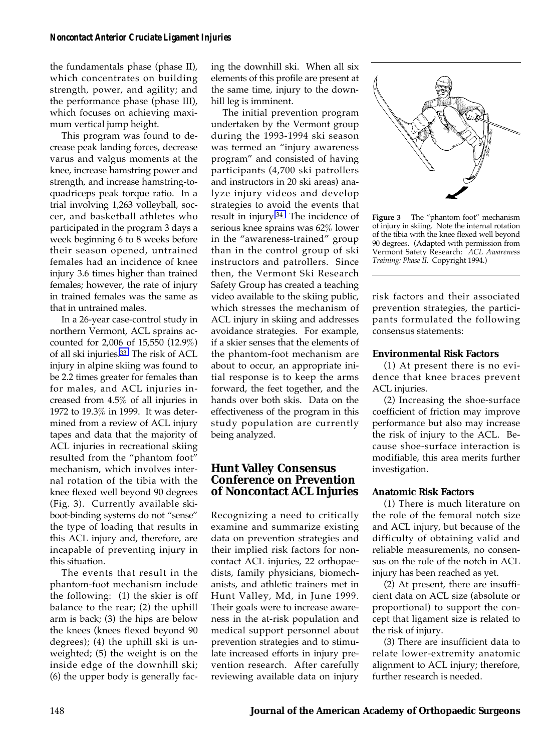the fundamentals phase (phase II), which concentrates on building strength, power, and agility; and the performance phase (phase III), which focuses on achieving maximum vertical jump height.

This program was found to decrease peak landing forces, decrease varus and valgus moments at the knee, increase hamstring power and strength, and increase hamstring-toquadriceps peak torque ratio. In a trial involving 1,263 volleyball, soccer, and basketball athletes who participated in the program 3 days a week beginning 6 to 8 weeks before their season opened, untrained females had an incidence of knee injury 3.6 times higher than trained females; however, the rate of injury in trained females was the same as that in untrained males.

In a 26-year case-control study in northern Vermont, ACL sprains accounted for 2,006 of 15,550 (12.9%) of all ski injuries[.33](#page-9-0) The risk of ACL injury in alpine skiing was found to be 2.2 times greater for females than for males, and ACL injuries increased from 4.5% of all injuries in 1972 to 19.3% in 1999. It was determined from a review of ACL injury tapes and data that the majority of ACL injuries in recreational skiing resulted from the "phantom foot" mechanism, which involves internal rotation of the tibia with the knee flexed well beyond 90 degrees (Fig. 3). Currently available skiboot-binding systems do not "sense" the type of loading that results in this ACL injury and, therefore, are incapable of preventing injury in this situation.

The events that result in the phantom-foot mechanism include the following: (1) the skier is off balance to the rear; (2) the uphill arm is back; (3) the hips are below the knees (knees flexed beyond 90 degrees); (4) the uphill ski is unweighted; (5) the weight is on the inside edge of the downhill ski; (6) the upper body is generally facing the downhill ski. When all six elements of this profile are present at the same time, injury to the downhill leg is imminent.

The initial prevention program undertaken by the Vermont group during the 1993-1994 ski season was termed an "injury awareness program" and consisted of having participants (4,700 ski patrollers and instructors in 20 ski areas) analyze injury videos and develop strategies to avoid the events that result in injury[.34](#page-9-0) The incidence of serious knee sprains was 62% lower in the "awareness-trained" group than in the control group of ski instructors and patrollers. Since then, the Vermont Ski Research Safety Group has created a teaching video available to the skiing public, which stresses the mechanism of ACL injury in skiing and addresses avoidance strategies. For example, if a skier senses that the elements of the phantom-foot mechanism are about to occur, an appropriate initial response is to keep the arms forward, the feet together, and the hands over both skis. Data on the effectiveness of the program in this study population are currently being analyzed.

### **Hunt Valley Consensus Conference on Prevention of Noncontact ACL Injuries**

Recognizing a need to critically examine and summarize existing data on prevention strategies and their implied risk factors for noncontact ACL injuries, 22 orthopaedists, family physicians, biomechanists, and athletic trainers met in Hunt Valley, Md, in June 1999. Their goals were to increase awareness in the at-risk population and medical support personnel about prevention strategies and to stimulate increased efforts in injury prevention research. After carefully reviewing available data on injury



**Figure 3** The "phantom foot" mechanism of injury in skiing. Note the internal rotation of the tibia with the knee flexed well beyond 90 degrees. (Adapted with permission from Vermont Safety Research: *ACL Awareness Training: Phase II*. Copyright 1994.)

risk factors and their associated prevention strategies, the participants formulated the following consensus statements:

#### **Environmental Risk Factors**

(1) At present there is no evidence that knee braces prevent ACL injuries.

(2) Increasing the shoe-surface coefficient of friction may improve performance but also may increase the risk of injury to the ACL. Because shoe-surface interaction is modifiable, this area merits further investigation.

#### **Anatomic Risk Factors**

(1) There is much literature on the role of the femoral notch size and ACL injury, but because of the difficulty of obtaining valid and reliable measurements, no consensus on the role of the notch in ACL injury has been reached as yet.

(2) At present, there are insufficient data on ACL size (absolute or proportional) to support the concept that ligament size is related to the risk of injury.

(3) There are insufficient data to relate lower-extremity anatomic alignment to ACL injury; therefore, further research is needed.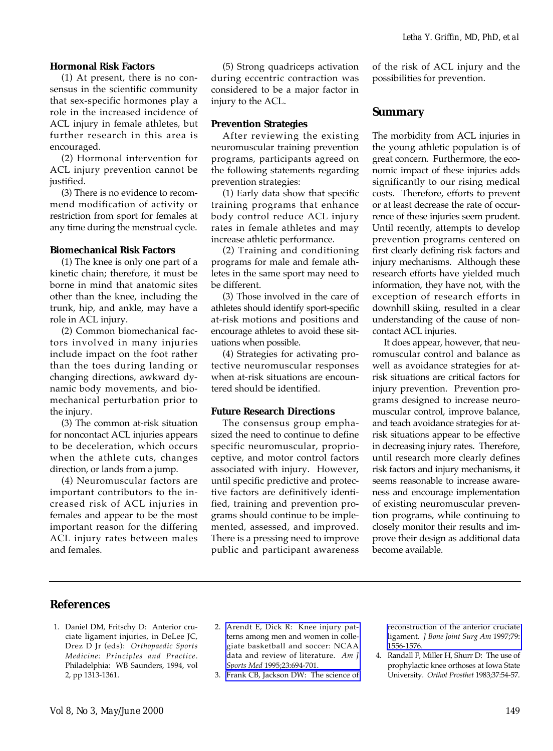#### **Hormonal Risk Factors**

(1) At present, there is no consensus in the scientific community that sex-specific hormones play a role in the increased incidence of ACL injury in female athletes, but further research in this area is encouraged.

(2) Hormonal intervention for ACL injury prevention cannot be justified.

(3) There is no evidence to recommend modification of activity or restriction from sport for females at any time during the menstrual cycle.

#### **Biomechanical Risk Factors**

(1) The knee is only one part of a kinetic chain; therefore, it must be borne in mind that anatomic sites other than the knee, including the trunk, hip, and ankle, may have a role in ACL injury.

(2) Common biomechanical factors involved in many injuries include impact on the foot rather than the toes during landing or changing directions, awkward dynamic body movements, and biomechanical perturbation prior to the injury.

(3) The common at-risk situation for noncontact ACL injuries appears to be deceleration, which occurs when the athlete cuts, changes direction, or lands from a jump.

<span id="page-8-3"></span><span id="page-8-2"></span><span id="page-8-1"></span>(4) Neuromuscular factors are important contributors to the increased risk of ACL injuries in females and appear to be the most important reason for the differing ACL injury rates between males and females.

(5) Strong quadriceps activation during eccentric contraction was considered to be a major factor in injury to the ACL.

#### **Prevention Strategies**

After reviewing the existing neuromuscular training prevention programs, participants agreed on the following statements regarding prevention strategies:

(1) Early data show that specific training programs that enhance body control reduce ACL injury rates in female athletes and may increase athletic performance.

(2) Training and conditioning programs for male and female athletes in the same sport may need to be different.

(3) Those involved in the care of athletes should identify sport-specific at-risk motions and positions and encourage athletes to avoid these situations when possible.

(4) Strategies for activating protective neuromuscular responses when at-risk situations are encountered should be identified.

#### **Future Research Directions**

The consensus group emphasized the need to continue to define specific neuromuscular, proprioceptive, and motor control factors associated with injury. However, until specific predictive and protective factors are definitively identified, training and prevention programs should continue to be implemented, assessed, and improved. There is a pressing need to improve public and participant awareness

of the risk of ACL injury and the possibilities for prevention.

### **Summary**

The morbidity from ACL injuries in the young athletic population is of great concern. Furthermore, the economic impact of these injuries adds significantly to our rising medical costs. Therefore, efforts to prevent or at least decrease the rate of occurrence of these injuries seem prudent. Until recently, attempts to develop prevention programs centered on first clearly defining risk factors and injury mechanisms. Although these research efforts have yielded much information, they have not, with the exception of research efforts in downhill skiing, resulted in a clear understanding of the cause of noncontact ACL injuries.

It does appear, however, that neuromuscular control and balance as well as avoidance strategies for atrisk situations are critical factors for injury prevention. Prevention programs designed to increase neuromuscular control, improve balance, and teach avoidance strategies for atrisk situations appear to be effective in decreasing injury rates. Therefore, until research more clearly defines risk factors and injury mechanisms, it seems reasonable to increase awareness and encourage implementation of existing neuromuscular prevention programs, while continuing to closely monitor their results and improve their design as additional data become available.

### <span id="page-8-0"></span>**References**

- 1. Daniel DM, Fritschy D: Anterior cruciate ligament injuries, in DeLee JC, Drez D Jr (eds): *Orthopaedic Sports Medicine: Principles and Practice*. Philadelphia: WB Saunders, 1994, vol 2, pp 1313-1361.
- 2. [Arendt E, Dick R: Knee injury pat](http://www.ncbi.nlm.nih.gov/cgi-bin/Entrez/referer?/htbin-post/Entrez/query%3fdb=m&form=6&uid=8600737&Dopt=r)terns among men and women in collegiate basketball and soccer: NCAA data and review of literature. *Am J Sports Med* 1995;23:694-701.
- 3. [Frank CB, Jackson DW: The science of](http://www.ncbi.nlm.nih.gov/cgi-bin/Entrez/referer?/htbin-post/Entrez/query%3fdb=m&form=6&uid=9378743&Dopt=r)

[reconstruction of the anterior cruciate](http://www.ncbi.nlm.nih.gov/cgi-bin/Entrez/referer?/htbin-post/Entrez/query%3fdb=m&form=6&uid=9378743&Dopt=r) ligament. *J Bone Joint Surg Am* 1997;79: 1556-1576.

Randall F, Miller H, Shurr D: The use of prophylactic knee orthoses at Iowa State University. *Orthot Prosthet* 1983;37:54-57.